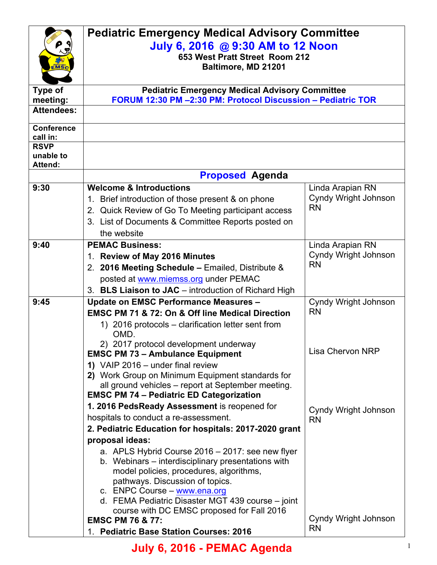|                               | <b>Pediatric Emergency Medical Advisory Committee</b><br>July 6, 2016 @ 9:30 AM to 12 Noon                |                                                 |  |
|-------------------------------|-----------------------------------------------------------------------------------------------------------|-------------------------------------------------|--|
|                               |                                                                                                           |                                                 |  |
|                               | 653 West Pratt Street Room 212                                                                            |                                                 |  |
|                               | Baltimore, MD 21201                                                                                       |                                                 |  |
| <b>Type of</b>                | <b>Pediatric Emergency Medical Advisory Committee</b>                                                     |                                                 |  |
| meeting:                      | FORUM 12:30 PM -2:30 PM: Protocol Discussion - Pediatric TOR                                              |                                                 |  |
| <b>Attendees:</b>             |                                                                                                           |                                                 |  |
|                               |                                                                                                           |                                                 |  |
| <b>Conference</b><br>call in: |                                                                                                           |                                                 |  |
| <b>RSVP</b>                   |                                                                                                           |                                                 |  |
| unable to                     |                                                                                                           |                                                 |  |
| <b>Attend:</b>                |                                                                                                           |                                                 |  |
|                               | <b>Proposed Agenda</b>                                                                                    |                                                 |  |
| 9:30                          | <b>Welcome &amp; Introductions</b>                                                                        | Linda Arapian RN<br><b>Cyndy Wright Johnson</b> |  |
|                               | 1. Brief introduction of those present & on phone                                                         | <b>RN</b>                                       |  |
|                               | 2. Quick Review of Go To Meeting participant access<br>3. List of Documents & Committee Reports posted on |                                                 |  |
|                               | the website                                                                                               |                                                 |  |
| 9:40                          | <b>PEMAC Business:</b>                                                                                    | Linda Arapian RN                                |  |
|                               | 1. Review of May 2016 Minutes                                                                             | Cyndy Wright Johnson                            |  |
|                               | 2. 2016 Meeting Schedule - Emailed, Distribute &                                                          | <b>RN</b>                                       |  |
|                               | posted at www.miemss.org under PEMAC                                                                      |                                                 |  |
|                               | 3. BLS Liaison to JAC - introduction of Richard High                                                      |                                                 |  |
| 9:45                          | <b>Update on EMSC Performance Measures -</b>                                                              | Cyndy Wright Johnson                            |  |
|                               | EMSC PM 71 & 72: On & Off line Medical Direction                                                          | <b>RN</b>                                       |  |
|                               | 1) 2016 protocols – clarification letter sent from                                                        |                                                 |  |
|                               | OMD.                                                                                                      |                                                 |  |
|                               | 2) 2017 protocol development underway                                                                     | <b>Lisa Chervon NRP</b>                         |  |
|                               | <b>EMSC PM 73 - Ambulance Equipment</b>                                                                   |                                                 |  |
|                               | 1) VAIP 2016 - under final review<br>2) Work Group on Minimum Equipment standards for                     |                                                 |  |
|                               | all ground vehicles - report at September meeting.                                                        |                                                 |  |
|                               | <b>EMSC PM 74 - Pediatric ED Categorization</b>                                                           |                                                 |  |
|                               | 1. 2016 PedsReady Assessment is reopened for                                                              | Cyndy Wright Johnson                            |  |
|                               | hospitals to conduct a re-assessment.                                                                     | <b>RN</b>                                       |  |
|                               | 2. Pediatric Education for hospitals: 2017-2020 grant                                                     |                                                 |  |
|                               | proposal ideas:                                                                                           |                                                 |  |
|                               | a. APLS Hybrid Course 2016 - 2017: see new flyer                                                          |                                                 |  |
|                               | b. Webinars – interdisciplinary presentations with                                                        |                                                 |  |
|                               | model policies, procedures, algorithms,<br>pathways. Discussion of topics.                                |                                                 |  |
|                               | c. ENPC Course - www.ena.org                                                                              |                                                 |  |
|                               | d. FEMA Pediatric Disaster MGT 439 course - joint                                                         |                                                 |  |
|                               | course with DC EMSC proposed for Fall 2016                                                                |                                                 |  |
|                               | <b>EMSC PM 76 &amp; 77:</b>                                                                               | Cyndy Wright Johnson<br><b>RN</b>               |  |
|                               | 1. Pediatric Base Station Courses: 2016                                                                   |                                                 |  |

## **July 6, 2016 - PEMAC Agenda** <sup>1</sup>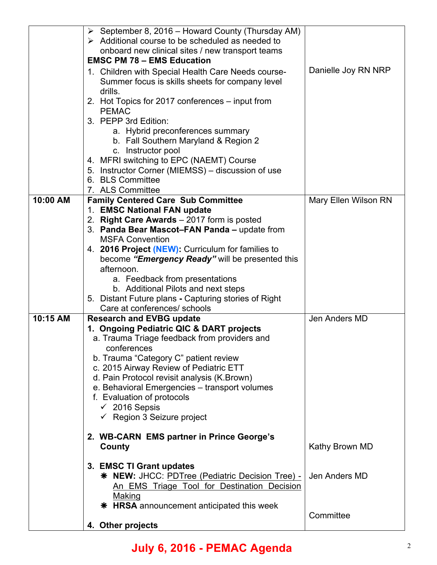|          | $\triangleright$ September 8, 2016 – Howard County (Thursday AM)<br>$\triangleright$ Additional course to be scheduled as needed to<br>onboard new clinical sites / new transport teams<br><b>EMSC PM 78 - EMS Education</b><br>1. Children with Special Health Care Needs course-<br>Summer focus is skills sheets for company level<br>drills.<br>2. Hot Topics for 2017 conferences – input from<br><b>PEMAC</b><br>3. PEPP 3rd Edition:<br>a. Hybrid preconferences summary<br>b. Fall Southern Maryland & Region 2<br>c. Instructor pool<br>4. MFRI switching to EPC (NAEMT) Course<br>5. Instructor Corner (MIEMSS) – discussion of use<br>6. BLS Committee | Danielle Joy RN NRP                          |
|----------|-------------------------------------------------------------------------------------------------------------------------------------------------------------------------------------------------------------------------------------------------------------------------------------------------------------------------------------------------------------------------------------------------------------------------------------------------------------------------------------------------------------------------------------------------------------------------------------------------------------------------------------------------------------------|----------------------------------------------|
| 10:00 AM | 7. ALS Committee<br><b>Family Centered Care Sub Committee</b><br>1. EMSC National FAN update<br>2. Right Care Awards - 2017 form is posted<br>3. Panda Bear Mascot-FAN Panda - update from<br><b>MSFA Convention</b><br>4. 2016 Project (NEW): Curriculum for families to<br>become "Emergency Ready" will be presented this<br>afternoon.<br>a. Feedback from presentations<br>b. Additional Pilots and next steps<br>5. Distant Future plans - Capturing stories of Right<br>Care at conferences/ schools                                                                                                                                                       | Mary Ellen Wilson RN                         |
| 10:15 AM | <b>Research and EVBG update</b><br>1. Ongoing Pediatric QIC & DART projects<br>a. Trauma Triage feedback from providers and<br>conferences<br>b. Trauma "Category C" patient review<br>c. 2015 Airway Review of Pediatric ETT<br>d. Pain Protocol revisit analysis (K. Brown)<br>e. Behavioral Emergencies - transport volumes<br>f. Evaluation of protocols<br>$\checkmark$ 2016 Sepsis<br>$\checkmark$ Region 3 Seizure project                                                                                                                                                                                                                                 | Jen Anders MD                                |
|          | 2. WB-CARN EMS partner in Prince George's<br>County<br>3. EMSC TI Grant updates<br>* NEW: JHCC: PDTree (Pediatric Decision Tree) -<br>An EMS Triage Tool for Destination Decision<br>Making<br><b>* HRSA</b> announcement anticipated this week<br>4. Other projects                                                                                                                                                                                                                                                                                                                                                                                              | Kathy Brown MD<br>Jen Anders MD<br>Committee |

## **July 6, 2016 - PEMAC Agenda** <sup>2</sup>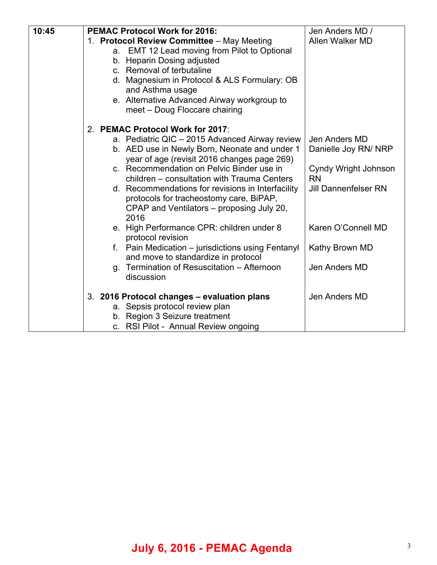| 10:45 | <b>PEMAC Protocol Work for 2016:</b><br>1. Protocol Review Committee - May Meeting<br>a. EMT 12 Lead moving from Pilot to Optional<br>b. Heparin Dosing adjusted<br>c. Removal of terbutaline<br>d. Magnesium in Protocol & ALS Formulary: OB<br>and Asthma usage<br>e. Alternative Advanced Airway workgroup to<br>meet - Doug Floccare chairing | Jen Anders MD /<br>Allen Walker MD    |
|-------|---------------------------------------------------------------------------------------------------------------------------------------------------------------------------------------------------------------------------------------------------------------------------------------------------------------------------------------------------|---------------------------------------|
|       | 2. PEMAC Protocol Work for 2017:                                                                                                                                                                                                                                                                                                                  |                                       |
|       | a. Pediatric QIC - 2015 Advanced Airway review<br>b. AED use in Newly Born, Neonate and under 1<br>year of age (revisit 2016 changes page 269)                                                                                                                                                                                                    | Jen Anders MD<br>Danielle Joy RN/ NRP |
|       | c. Recommendation on Pelvic Binder use in<br>children - consultation with Trauma Centers                                                                                                                                                                                                                                                          | Cyndy Wright Johnson<br><b>RN</b>     |
|       | d. Recommendations for revisions in Interfacility<br>protocols for tracheostomy care, BiPAP,<br>CPAP and Ventilators - proposing July 20,<br>2016                                                                                                                                                                                                 | <b>Jill Dannenfelser RN</b>           |
|       | e. High Performance CPR: children under 8<br>protocol revision                                                                                                                                                                                                                                                                                    | Karen O'Connell MD                    |
|       | f. Pain Medication – jurisdictions using Fentanyl<br>and move to standardize in protocol                                                                                                                                                                                                                                                          | Kathy Brown MD                        |
|       | g. Termination of Resuscitation – Afternoon<br>discussion                                                                                                                                                                                                                                                                                         | Jen Anders MD                         |
|       | 3. 2016 Protocol changes - evaluation plans<br>a. Sepsis protocol review plan<br>b. Region 3 Seizure treatment<br>c. RSI Pilot - Annual Review ongoing                                                                                                                                                                                            | Jen Anders MD                         |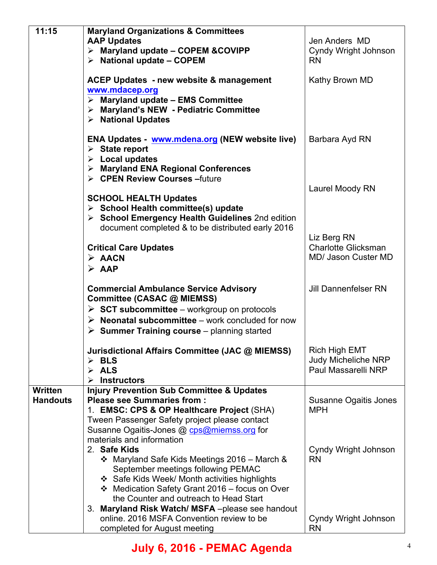| 11:15           | <b>Maryland Organizations &amp; Committees</b>                  |                              |
|-----------------|-----------------------------------------------------------------|------------------------------|
|                 | <b>AAP Updates</b>                                              | Jen Anders MD                |
|                 | > Maryland update - COPEM &COVIPP                               | Cyndy Wright Johnson         |
|                 | $\triangleright$ National update - COPEM                        | <b>RN</b>                    |
|                 |                                                                 |                              |
|                 | <b>ACEP Updates - new website &amp; management</b>              | Kathy Brown MD               |
|                 | www.mdacep.org                                                  |                              |
|                 | $\triangleright$ Maryland update - EMS Committee                |                              |
|                 | > Maryland's NEW - Pediatric Committee                          |                              |
|                 | > National Updates                                              |                              |
|                 |                                                                 |                              |
|                 | <b>ENA Updates</b> www.mdena.org (NEW website live)             | Barbara Ayd RN               |
|                 | $\triangleright$ State report                                   |                              |
|                 | $\triangleright$ Local updates                                  |                              |
|                 | > Maryland ENA Regional Conferences                             |                              |
|                 | > CPEN Review Courses - future                                  |                              |
|                 |                                                                 | Laurel Moody RN              |
|                 | <b>SCHOOL HEALTH Updates</b>                                    |                              |
|                 | $\triangleright$ School Health committee(s) update              |                              |
|                 | > School Emergency Health Guidelines 2nd edition                |                              |
|                 | document completed & to be distributed early 2016               |                              |
|                 |                                                                 | Liz Berg RN                  |
|                 | <b>Critical Care Updates</b>                                    | <b>Charlotte Glicksman</b>   |
|                 | $\triangleright$ AACN                                           | <b>MD/ Jason Custer MD</b>   |
|                 | $\triangleright$ AAP                                            |                              |
|                 |                                                                 |                              |
|                 | <b>Commercial Ambulance Service Advisory</b>                    | <b>Jill Dannenfelser RN</b>  |
|                 | Committee (CASAC @ MIEMSS)                                      |                              |
|                 | $\triangleright$ SCT subcommittee – workgroup on protocols      |                              |
|                 | $\triangleright$ Neonatal subcommittee – work concluded for now |                              |
|                 | $\triangleright$ Summer Training course – planning started      |                              |
|                 | Jurisdictional Affairs Committee (JAC @ MIEMSS)                 | <b>Rich High EMT</b>         |
|                 | $\triangleright$ BLS                                            | <b>Judy Micheliche NRP</b>   |
|                 | <b>ALS</b><br>$\blacktriangleright$                             | Paul Massarelli NRP          |
|                 | <b>Instructors</b>                                              |                              |
| <b>Written</b>  | <b>Injury Prevention Sub Committee &amp; Updates</b>            |                              |
| <b>Handouts</b> | <b>Please see Summaries from:</b>                               | <b>Susanne Ogaitis Jones</b> |
|                 | 1. EMSC: CPS & OP Healthcare Project (SHA)                      | <b>MPH</b>                   |
|                 | Tween Passenger Safety project please contact                   |                              |
|                 | Susanne Ogaitis-Jones @ cps@miemss.org for                      |                              |
|                 | materials and information                                       |                              |
|                 | 2. Safe Kids                                                    | Cyndy Wright Johnson         |
|                 | ❖ Maryland Safe Kids Meetings 2016 – March &                    | <b>RN</b>                    |
|                 | September meetings following PEMAC                              |                              |
|                 | ❖ Safe Kids Week/ Month activities highlights                   |                              |
|                 | ❖ Medication Safety Grant 2016 - focus on Over                  |                              |
|                 | the Counter and outreach to Head Start                          |                              |
|                 | 3. Maryland Risk Watch/MSFA-please see handout                  |                              |
|                 | online. 2016 MSFA Convention review to be                       | Cyndy Wright Johnson         |
|                 | completed for August meeting                                    | <b>RN</b>                    |

## **July 6, 2016 - PEMAC Agenda** <sup>4</sup>